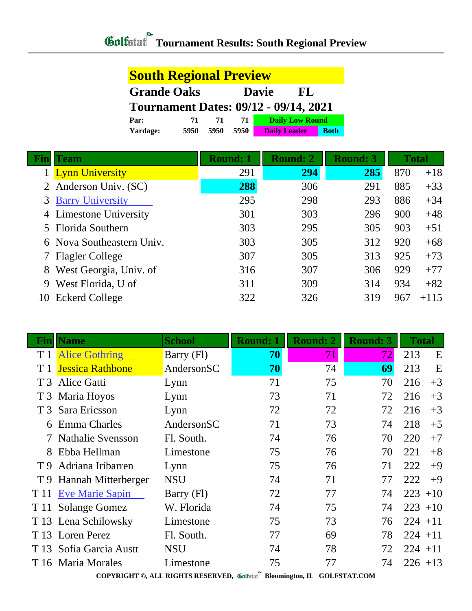| <b>South Regional Preview</b> |      |      |      |                                              |             |
|-------------------------------|------|------|------|----------------------------------------------|-------------|
| <b>Grande Oaks</b>            |      |      |      | <b>Davie</b><br>FL                           |             |
|                               |      |      |      | <b>Tournament Dates: 09/12 - 09/14, 2021</b> |             |
| Par:                          | 71   | 71   | 71   | <b>Daily Low Round</b>                       |             |
| Yardage:                      | 5950 | 5950 | 5950 | <b>Daily Leader</b>                          | <b>Both</b> |

|    | 'eam                      | <b>Round: 1</b> | <b>Round: 2</b> | <b>Round: 3</b> |     | <b>Total</b> |
|----|---------------------------|-----------------|-----------------|-----------------|-----|--------------|
|    | <b>Lynn University</b>    | 291             | 294             | 285             | 870 | $+18$        |
|    | 2 Anderson Univ. (SC)     | 288             | 306             | 291             | 885 | $+33$        |
|    | <b>3 Barry University</b> | 295             | 298             | 293             | 886 | $+34$        |
|    | 4 Limestone University    | 301             | 303             | 296             | 900 | $+48$        |
|    | 5 Florida Southern        | 303             | 295             | 305             | 903 | $+51$        |
|    | 6 Nova Southeastern Univ. | 303             | 305             | 312             | 920 | $+68$        |
|    | 7 Flagler College         | 307             | 305             | 313             | 925 | $+73$        |
|    | 8 West Georgia, Univ. of  | 316             | 307             | 306             | 929 | $+77$        |
| 9  | West Florida, U of        | 311             | 309             | 314             | 934 | $+82$        |
| 10 | <b>Eckerd College</b>     | 322             | 326             | 319             | 967 | $+115$       |

| Finl           | <b>Name</b>              | <b>School</b> | <b>Round: 1</b> | <b>Round: 2</b> | <b>Round: 3</b> | <b>Total</b> |
|----------------|--------------------------|---------------|-----------------|-----------------|-----------------|--------------|
| T <sub>1</sub> | <b>Alice Gotbring</b>    | Barry (Fl)    | 70              | 71              | 72.             | 213<br>E     |
|                | <b>Jessica Rathbone</b>  | AndersonSC    | 70              | 74              | 69              | E<br>213     |
| T <sub>3</sub> | Alice Gatti              | Lynn          | 71              | 75              | 70              | 216<br>$+3$  |
|                | T 3 Maria Hoyos          | Lynn          | 73              | 71              | 72              | 216<br>$+3$  |
|                | T 3 Sara Ericsson        | Lynn          | 72              | 72              | 72              | 216<br>$+3$  |
| 6              | <b>Emma Charles</b>      | AndersonSC    | 71              | 73              | 74              | 218<br>$+5$  |
|                | <b>Nathalie Svensson</b> | Fl. South.    | 74              | 76              | 70              | 220<br>$+7$  |
| 8              | Ebba Hellman             | Limestone     | 75              | 76              | 70              | 221<br>$+8$  |
| T 9            | Adriana Iribarren        | Lynn          | 75              | 76              | 71              | 222<br>$+9$  |
|                | T 9 Hannah Mitterberger  | <b>NSU</b>    | 74              | 71              | 77              | 222<br>$+9$  |
|                | T 11 Eve Marie Sapin     | Barry (Fl)    | 72              | 77              | 74              | $223 + 10$   |
| T 11           | <b>Solange Gomez</b>     | W. Florida    | 74              | 75              | 74              | $223 + 10$   |
|                | T 13 Lena Schilowsky     | Limestone     | 75              | 73              | 76              | $224 + 11$   |
|                | T 13 Loren Perez         | Fl. South.    | 77              | 69              | 78              | $224 + 11$   |
|                | T 13 Sofia Garcia Austt  | <b>NSU</b>    | 74              | 78              | 72              | $224 + 11$   |
|                | T 16 Maria Morales       | Limestone     | 75              | 77              | 74              | $226 + 13$   |

**COPYRIGHT ©, ALL RIGHTS RESERVED, Bloomington, IL GOLFSTAT.COM**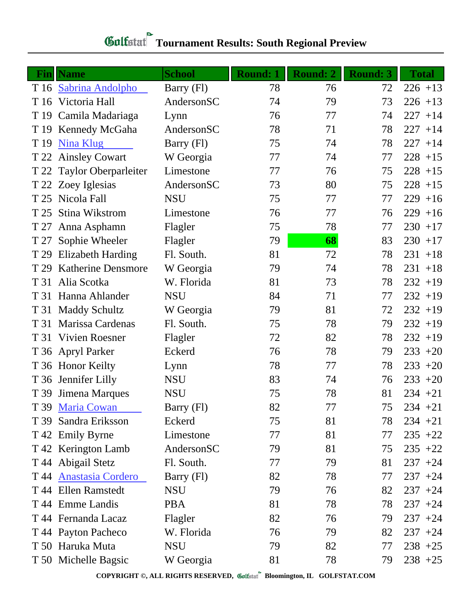| <b>School</b><br><b>Round: 1</b><br><b>Round: 2</b><br><b>Round: 3</b><br><b>Fin</b> Name<br>78<br>T 16 Sabrina Andolpho<br>Barry (Fl)<br>76<br>72 | <b>Total</b><br>$226 + 13$ |
|----------------------------------------------------------------------------------------------------------------------------------------------------|----------------------------|
|                                                                                                                                                    |                            |
|                                                                                                                                                    |                            |
| AndersonSC<br>Victoria Hall<br>74<br>79<br>73<br>T 16                                                                                              | $226 + 13$                 |
| T 19 Camila Madariaga<br>76<br>77<br>74<br>Lynn                                                                                                    | $227 + 14$                 |
| 78<br>AndersonSC<br>71<br>78<br>T 19 Kennedy McGaha                                                                                                | $227 + 14$                 |
| <b>Nina Klug</b><br>Barry (Fl)<br>75<br>74<br>78<br>T 19                                                                                           | $227 + 14$                 |
| 77<br>74<br>77<br><b>Ainsley Cowart</b><br>W Georgia<br>T 22                                                                                       | $228 + 15$                 |
| T 22 Taylor Oberparleiter<br>77<br>75<br>Limestone<br>76                                                                                           | $228 + 15$                 |
| AndersonSC<br>73<br>80<br>75<br>T 22 Zoey Iglesias                                                                                                 | $228 + 15$                 |
| Nicola Fall<br><b>NSU</b><br>75<br>77<br>77<br>T 25                                                                                                | $229 + 16$                 |
| Stina Wikstrom<br>76<br>77<br>76<br>Limestone<br>T 25                                                                                              | $229 + 16$                 |
| 75<br>78<br>77<br>Anna Asphamn<br>Flagler<br>T 27                                                                                                  | $230 + 17$                 |
| 79<br>68<br>83<br>Sophie Wheeler<br>Flagler<br>T 27                                                                                                | $230 + 17$                 |
| 72<br><b>Elizabeth Harding</b><br>Fl. South.<br>81<br>78<br>T 29                                                                                   | $231 + 18$                 |
| <b>Katherine Densmore</b><br>W Georgia<br>79<br>74<br>78<br>T 29                                                                                   | $231 + 18$                 |
| Alia Scotka<br>W. Florida<br>81<br>73<br>78<br>T 31                                                                                                | $232 + 19$                 |
| Hanna Ahlander<br><b>NSU</b><br>84<br>71<br>77<br>T 31                                                                                             | $232 + 19$                 |
| T 31 Maddy Schultz<br>79<br>81<br>72<br>W Georgia                                                                                                  | $232 + 19$                 |
| Marissa Cardenas<br>Fl. South.<br>75<br>78<br>79<br>T 31                                                                                           | $232 + 19$                 |
| Vivien Roesner<br>72<br>82<br>78<br>T 31<br>Flagler                                                                                                | $232 + 19$                 |
| T 36 Apryl Parker<br>Eckerd<br>76<br>78<br>79                                                                                                      | $233 + 20$                 |
| T 36 Honor Keilty<br>78<br>77<br>78<br>Lynn                                                                                                        | $233 + 20$                 |
| T 36 Jennifer Lilly<br>83<br>74<br>76<br><b>NSU</b>                                                                                                | $233 + 20$                 |
| <b>NSU</b><br>75<br>78<br>81<br>T 39 Jimena Marques                                                                                                | $234 + 21$                 |
| 82<br>77<br>75<br>T 39 Maria Cowan<br>Barry (Fl)                                                                                                   | $234 +21$                  |
| Sandra Eriksson<br>75<br>81<br>Eckerd<br>78<br>T 39                                                                                                | $234 +21$                  |
| 81<br>T 42 Emily Byrne<br>Limestone<br>77<br>77                                                                                                    | $235 +22$                  |
| AndersonSC<br>81<br>T 42 Kerington Lamb<br>79<br>75                                                                                                | $235 +22$                  |
| T 44 Abigail Stetz<br>Fl. South.<br>79<br>77<br>81                                                                                                 | $237 + 24$                 |
| T 44 Anastasia Cordero<br>82<br>77<br>Barry (Fl)<br>78                                                                                             | $237 + 24$                 |
| T 44 Ellen Ramstedt<br>79<br><b>NSU</b><br>76<br>82                                                                                                | $237 + 24$                 |
| T 44 Emme Landis<br>81<br>78<br><b>PBA</b><br>78                                                                                                   | $237 + 24$                 |
| T 44 Fernanda Lacaz<br>82<br>76<br>79<br>Flagler                                                                                                   | $237 + 24$                 |
| T 44 Payton Pacheco<br>W. Florida<br>76<br>79<br>82                                                                                                | $237 + 24$                 |
| T 50 Haruka Muta<br><b>NSU</b><br>79<br>82<br>77                                                                                                   | $238 + 25$                 |
| T 50 Michelle Bagsic<br>81<br>78<br>W Georgia<br>79                                                                                                | $238 + 25$                 |

## **Gulfatat** Tournament Results: South Regional Preview